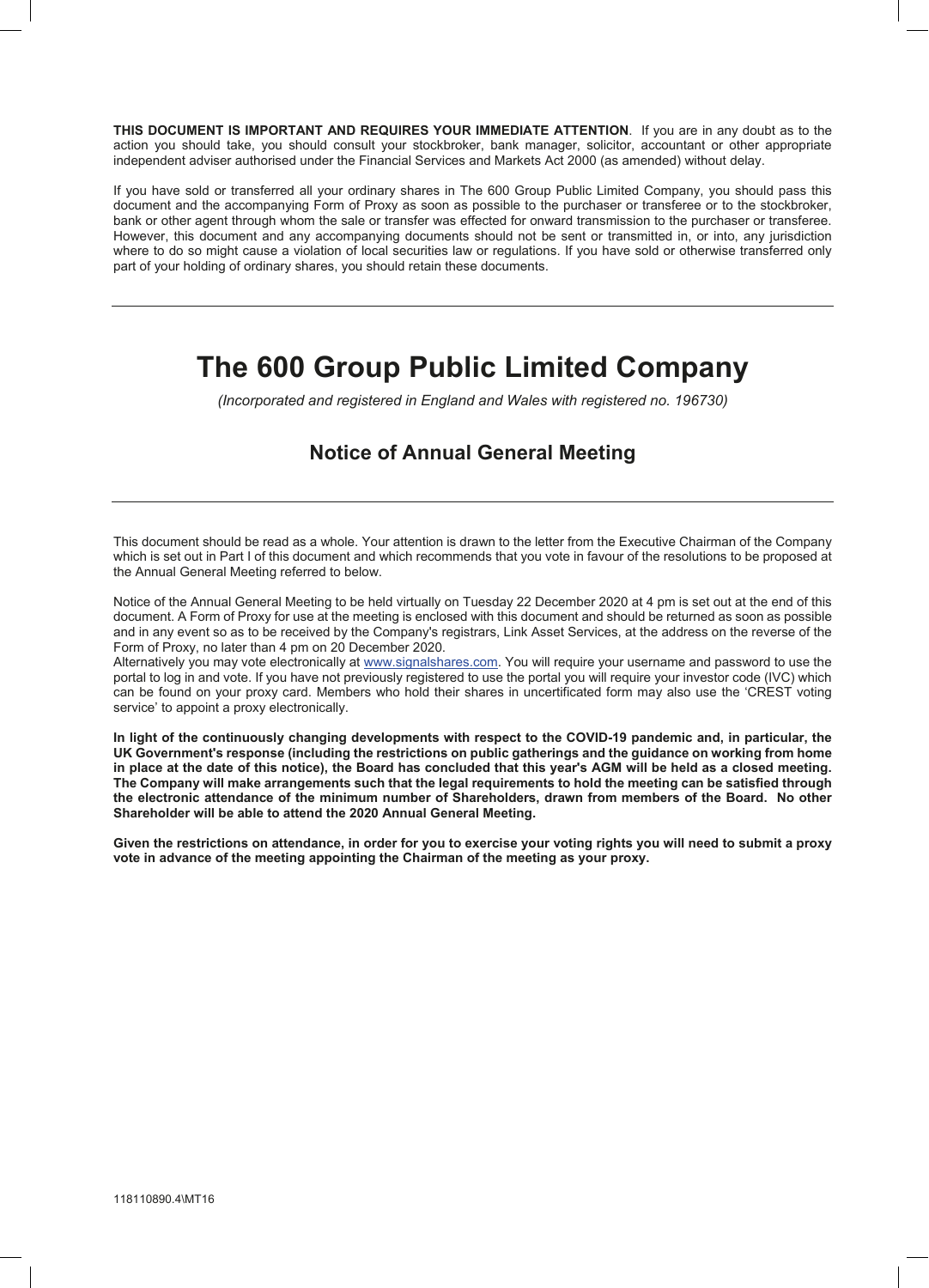**THIS DOCUMENT IS IMPORTANT AND REQUIRES YOUR IMMEDIATE ATTENTION**. If you are in any doubt as to the action you should take, you should consult your stockbroker, bank manager, solicitor, accountant or other appropriate independent adviser authorised under the Financial Services and Markets Act 2000 (as amended) without delay.

If you have sold or transferred all your ordinary shares in The 600 Group Public Limited Company, you should pass this document and the accompanying Form of Proxy as soon as possible to the purchaser or transferee or to the stockbroker, bank or other agent through whom the sale or transfer was effected for onward transmission to the purchaser or transferee. However, this document and any accompanying documents should not be sent or transmitted in, or into, any jurisdiction where to do so might cause a violation of local securities law or regulations. If you have sold or otherwise transferred only part of your holding of ordinary shares, you should retain these documents.

# **The 600 Group Public Limited Company**

*(Incorporated and registered in England and Wales with registered no. 196730)*

# **Notice of Annual General Meeting**

This document should be read as a whole. Your attention is drawn to the letter from the Executive Chairman of the Company which is set out in Part I of this document and which recommends that you vote in favour of the resolutions to be proposed at the Annual General Meeting referred to below.

Notice of the Annual General Meeting to be held virtually on Tuesday 22 December 2020 at 4 pm is set out at the end of this document. A Form of Proxy for use at the meeting is enclosed with this document and should be returned as soon as possible and in any event so as to be received by the Company's registrars, Link Asset Services, at the address on the reverse of the Form of Proxy, no later than 4 pm on 20 December 2020.

Alternatively you may vote electronically at www.signalshares.com. You will require your username and password to use the portal to log in and vote. If you have not previously registered to use the portal you will require your investor code (IVC) which can be found on your proxy card. Members who hold their shares in uncertificated form may also use the 'CREST voting service' to appoint a proxy electronically.

**In light of the continuously changing developments with respect to the COVID-19 pandemic and, in particular, the UK Government's response (including the restrictions on public gatherings and the guidance on working from home in place at the date of this notice), the Board has concluded that this year's AGM will be held as a closed meeting. The Company will make arrangements such that the legal requirements to hold the meeting can be satisfied through the electronic attendance of the minimum number of Shareholders, drawn from members of the Board. No other Shareholder will be able to attend the 2020 Annual General Meeting.**

**Given the restrictions on attendance, in order for you to exercise your voting rights you will need to submit a proxy vote in advance of the meeting appointing the Chairman of the meeting as your proxy.**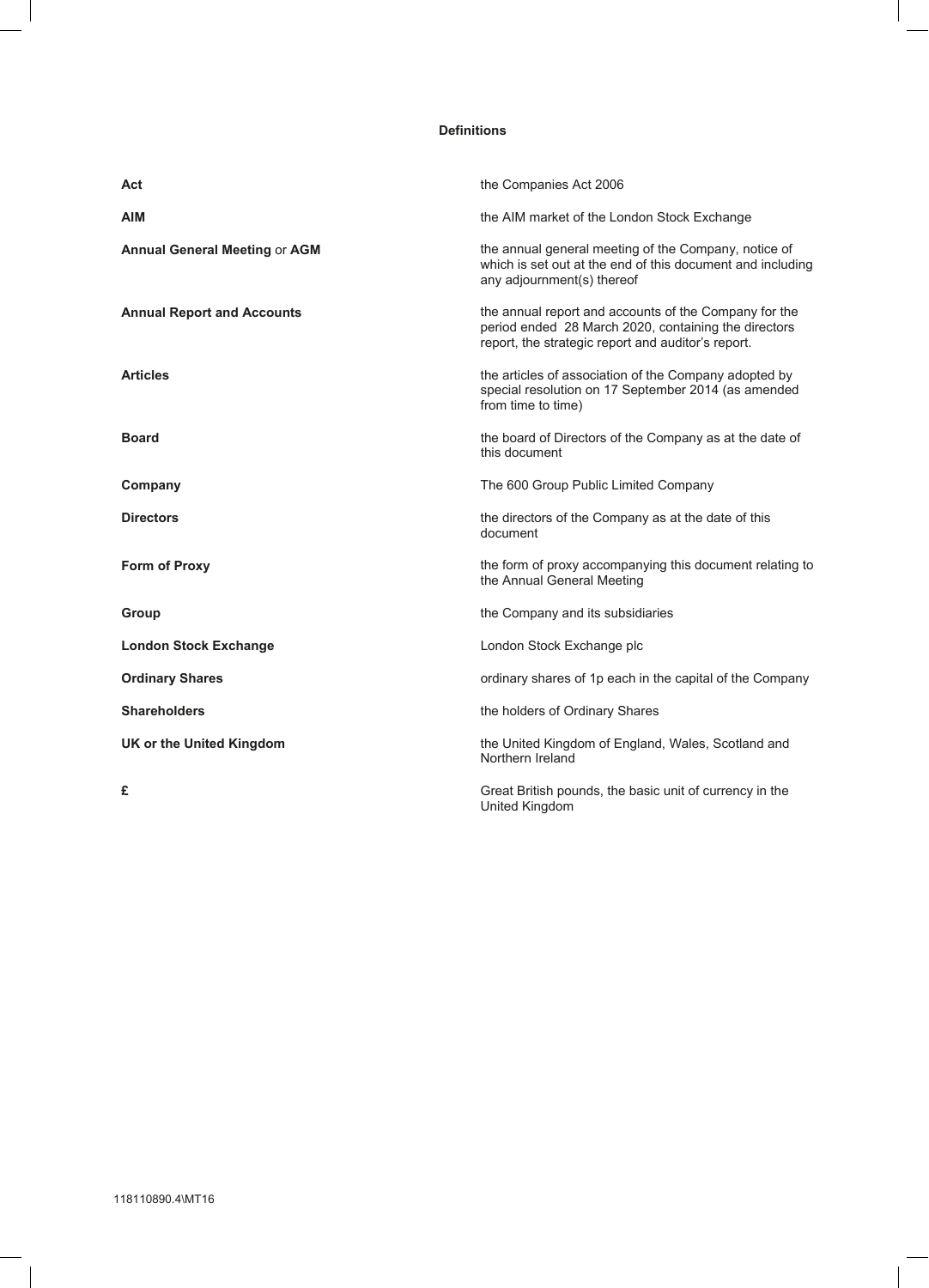#### **Definitions**

| Act                                  | the Companies Act 2006                                                                                                                                              |
|--------------------------------------|---------------------------------------------------------------------------------------------------------------------------------------------------------------------|
| <b>AIM</b>                           | the AIM market of the London Stock Exchange                                                                                                                         |
| <b>Annual General Meeting or AGM</b> | the annual general meeting of the Company, notice of<br>which is set out at the end of this document and including<br>any adjournment(s) thereof                    |
| <b>Annual Report and Accounts</b>    | the annual report and accounts of the Company for the<br>period ended 28 March 2020, containing the directors<br>report, the strategic report and auditor's report. |
| <b>Articles</b>                      | the articles of association of the Company adopted by<br>special resolution on 17 September 2014 (as amended<br>from time to time)                                  |
| <b>Board</b>                         | the board of Directors of the Company as at the date of<br>this document                                                                                            |
| Company                              | The 600 Group Public Limited Company                                                                                                                                |
| <b>Directors</b>                     | the directors of the Company as at the date of this<br>document                                                                                                     |
| <b>Form of Proxy</b>                 | the form of proxy accompanying this document relating to<br>the Annual General Meeting                                                                              |
| Group                                | the Company and its subsidiaries                                                                                                                                    |
| <b>London Stock Exchange</b>         | London Stock Exchange plc                                                                                                                                           |
| <b>Ordinary Shares</b>               | ordinary shares of 1p each in the capital of the Company                                                                                                            |
| <b>Shareholders</b>                  | the holders of Ordinary Shares                                                                                                                                      |
| UK or the United Kingdom             | the United Kingdom of England, Wales, Scotland and<br>Northern Ireland                                                                                              |
| £                                    | Great British pounds, the basic unit of currency in the                                                                                                             |

United Kingdom

 $\begin{array}{c} \hline \end{array}$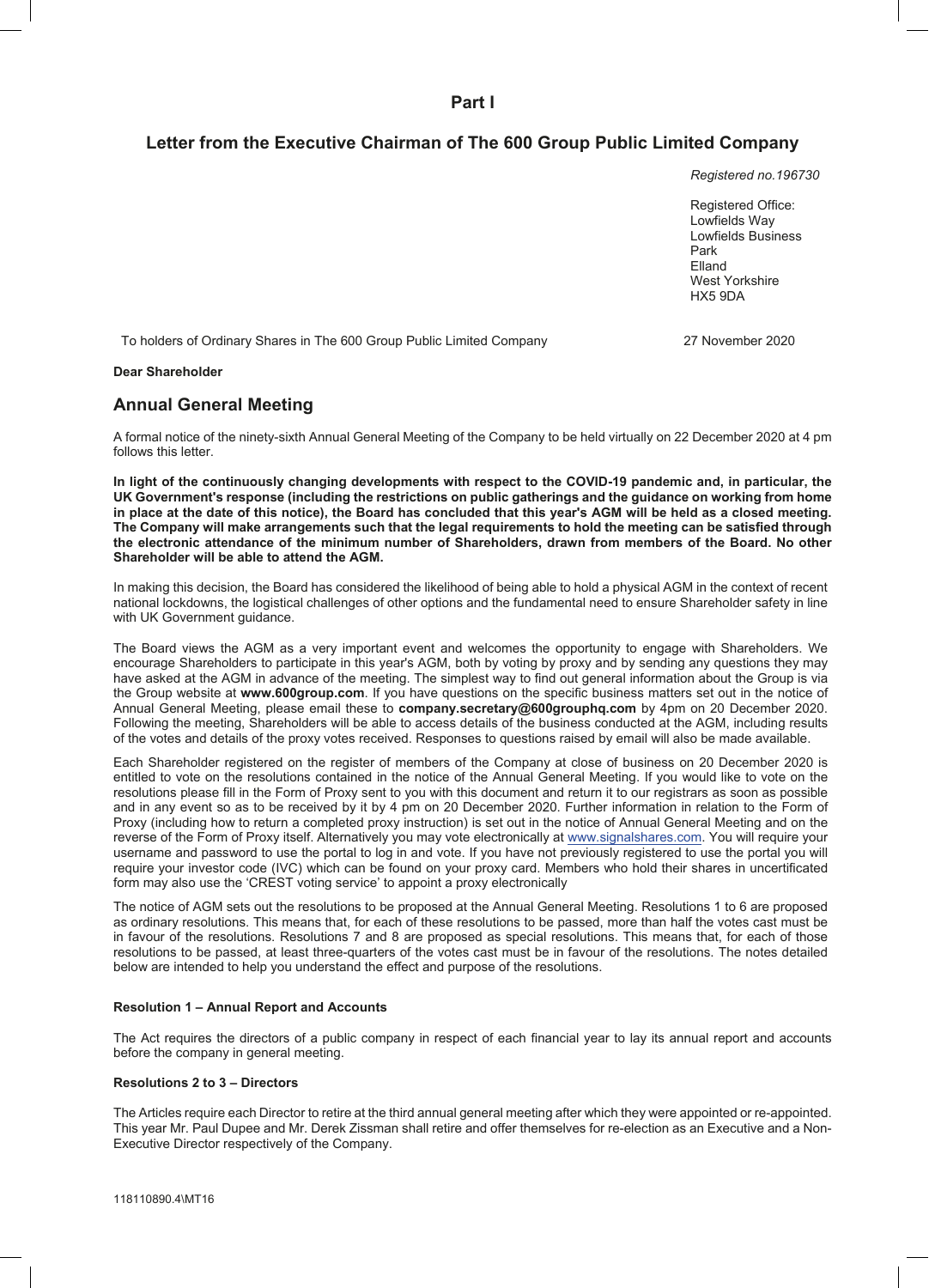**Part I**

# **Letter from the Executive Chairman of The 600 Group Public Limited Company**

*Registered no.196730*

Registered Office: Lowfields Way Lowfields Business Park Elland West Yorkshire HX5 9DA

To holders of Ordinary Shares in The 600 Group Public Limited Company 27 November 2020

#### **Dear Shareholder**

## **Annual General Meeting**

A formal notice of the ninety-sixth Annual General Meeting of the Company to be held virtually on 22 December 2020 at 4 pm follows this letter.

**In light of the continuously changing developments with respect to the COVID-19 pandemic and, in particular, the UK Government's response (including the restrictions on public gatherings and the guidance on working from home in place at the date of this notice), the Board has concluded that this year's AGM will be held as a closed meeting. The Company will make arrangements such that the legal requirements to hold the meeting can be satisfied through the electronic attendance of the minimum number of Shareholders, drawn from members of the Board. No other Shareholder will be able to attend the AGM.**

In making this decision, the Board has considered the likelihood of being able to hold a physical AGM in the context of recent national lockdowns, the logistical challenges of other options and the fundamental need to ensure Shareholder safety in line with UK Government guidance.

The Board views the AGM as a very important event and welcomes the opportunity to engage with Shareholders. We encourage Shareholders to participate in this year's AGM, both by voting by proxy and by sending any questions they may have asked at the AGM in advance of the meeting. The simplest way to find out general information about the Group is via the Group website at **www.600group.com**. If you have questions on the specific business matters set out in the notice of Annual General Meeting, please email these to **company.secretary@600grouphq.com** by 4pm on 20 December 2020. Following the meeting, Shareholders will be able to access details of the business conducted at the AGM, including results of the votes and details of the proxy votes received. Responses to questions raised by email will also be made available.

Each Shareholder registered on the register of members of the Company at close of business on 20 December 2020 is entitled to vote on the resolutions contained in the notice of the Annual General Meeting. If you would like to vote on the resolutions please fill in the Form of Proxy sent to you with this document and return it to our registrars as soon as possible and in any event so as to be received by it by 4 pm on 20 December 2020. Further information in relation to the Form of Proxy (including how to return a completed proxy instruction) is set out in the notice of Annual General Meeting and on the reverse of the Form of Proxy itself. Alternatively you may vote electronically at www.signalshares.com. You will require your username and password to use the portal to log in and vote. If you have not previously registered to use the portal you will require your investor code (IVC) which can be found on your proxy card. Members who hold their shares in uncertificated form may also use the 'CREST voting service' to appoint a proxy electronically

The notice of AGM sets out the resolutions to be proposed at the Annual General Meeting. Resolutions 1 to 6 are proposed as ordinary resolutions. This means that, for each of these resolutions to be passed, more than half the votes cast must be in favour of the resolutions. Resolutions 7 and 8 are proposed as special resolutions. This means that, for each of those resolutions to be passed, at least three-quarters of the votes cast must be in favour of the resolutions. The notes detailed below are intended to help you understand the effect and purpose of the resolutions.

#### **Resolution 1 – Annual Report and Accounts**

The Act requires the directors of a public company in respect of each financial year to lay its annual report and accounts before the company in general meeting.

### **Resolutions 2 to 3 – Directors**

The Articles require each Director to retire at the third annual general meeting after which they were appointed or re-appointed. This year Mr. Paul Dupee and Mr. Derek Zissman shall retire and offer themselves for re-election as an Executive and a Non-Executive Director respectively of the Company.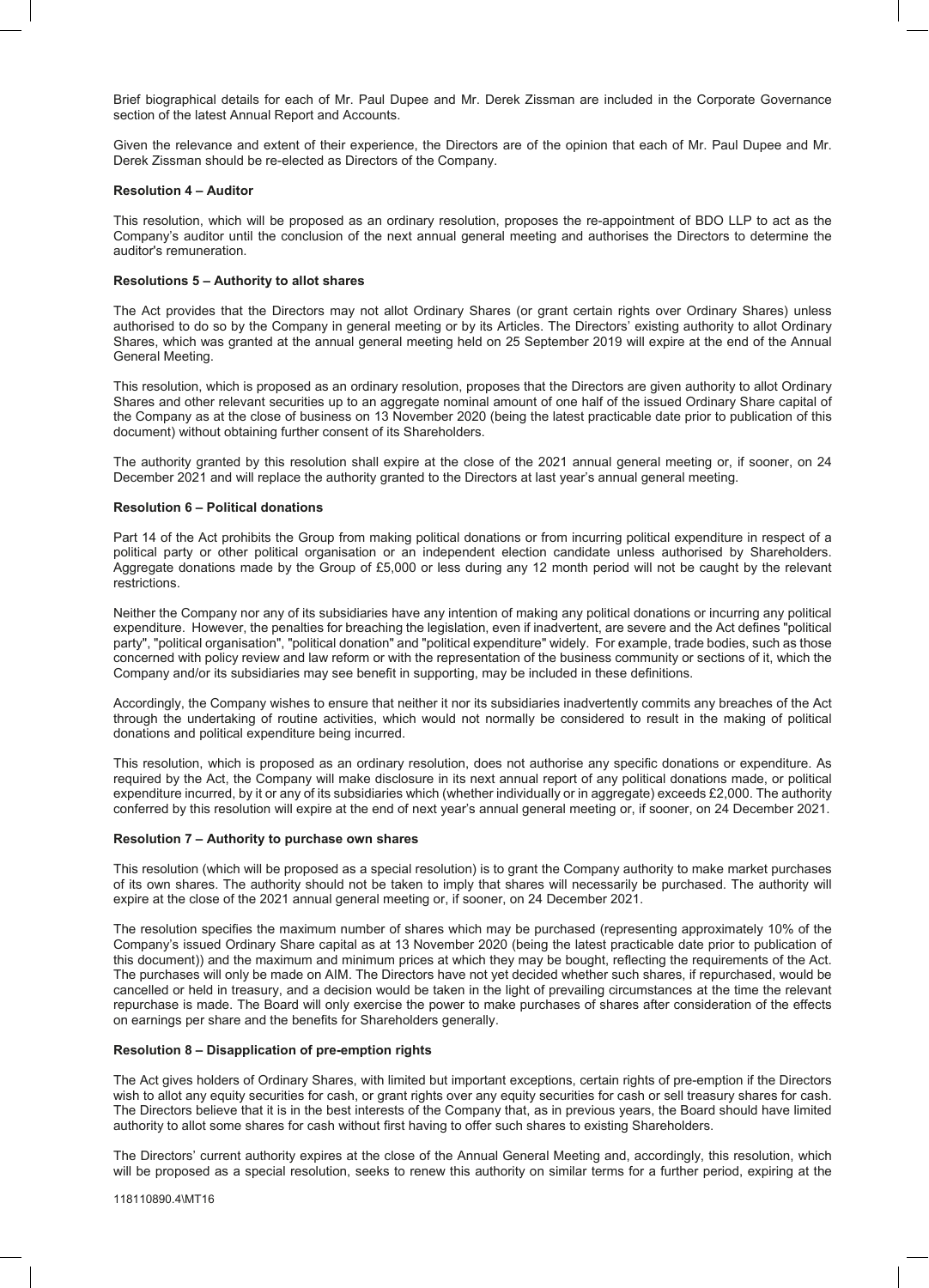Brief biographical details for each of Mr. Paul Dupee and Mr. Derek Zissman are included in the Corporate Governance section of the latest Annual Report and Accounts.

Given the relevance and extent of their experience, the Directors are of the opinion that each of Mr. Paul Dupee and Mr. Derek Zissman should be re-elected as Directors of the Company.

#### **Resolution 4 – Auditor**

This resolution, which will be proposed as an ordinary resolution, proposes the re-appointment of BDO LLP to act as the Company's auditor until the conclusion of the next annual general meeting and authorises the Directors to determine the auditor's remuneration.

#### **Resolutions 5 – Authority to allot shares**

The Act provides that the Directors may not allot Ordinary Shares (or grant certain rights over Ordinary Shares) unless authorised to do so by the Company in general meeting or by its Articles. The Directors' existing authority to allot Ordinary Shares, which was granted at the annual general meeting held on 25 September 2019 will expire at the end of the Annual General Meeting.

This resolution, which is proposed as an ordinary resolution, proposes that the Directors are given authority to allot Ordinary Shares and other relevant securities up to an aggregate nominal amount of one half of the issued Ordinary Share capital of the Company as at the close of business on 13 November 2020 (being the latest practicable date prior to publication of this document) without obtaining further consent of its Shareholders.

The authority granted by this resolution shall expire at the close of the 2021 annual general meeting or, if sooner, on 24 December 2021 and will replace the authority granted to the Directors at last year's annual general meeting.

#### **Resolution 6 – Political donations**

Part 14 of the Act prohibits the Group from making political donations or from incurring political expenditure in respect of a political party or other political organisation or an independent election candidate unless authorised by Shareholders. Aggregate donations made by the Group of £5,000 or less during any 12 month period will not be caught by the relevant restrictions.

Neither the Company nor any of its subsidiaries have any intention of making any political donations or incurring any political expenditure. However, the penalties for breaching the legislation, even if inadvertent, are severe and the Act defines "political party", "political organisation", "political donation" and "political expenditure" widely. For example, trade bodies, such as those concerned with policy review and law reform or with the representation of the business community or sections of it, which the Company and/or its subsidiaries may see benefit in supporting, may be included in these definitions.

Accordingly, the Company wishes to ensure that neither it nor its subsidiaries inadvertently commits any breaches of the Act through the undertaking of routine activities, which would not normally be considered to result in the making of political donations and political expenditure being incurred.

This resolution, which is proposed as an ordinary resolution, does not authorise any specific donations or expenditure. As required by the Act, the Company will make disclosure in its next annual report of any political donations made, or political expenditure incurred, by it or any of its subsidiaries which (whether individually or in aggregate) exceeds £2,000. The authority conferred by this resolution will expire at the end of next year's annual general meeting or, if sooner, on 24 December 2021.

#### **Resolution 7 – Authority to purchase own shares**

This resolution (which will be proposed as a special resolution) is to grant the Company authority to make market purchases of its own shares. The authority should not be taken to imply that shares will necessarily be purchased. The authority will expire at the close of the 2021 annual general meeting or, if sooner, on 24 December 2021.

The resolution specifies the maximum number of shares which may be purchased (representing approximately 10% of the Company's issued Ordinary Share capital as at 13 November 2020 (being the latest practicable date prior to publication of this document)) and the maximum and minimum prices at which they may be bought, reflecting the requirements of the Act. The purchases will only be made on AIM. The Directors have not yet decided whether such shares, if repurchased, would be cancelled or held in treasury, and a decision would be taken in the light of prevailing circumstances at the time the relevant repurchase is made. The Board will only exercise the power to make purchases of shares after consideration of the effects on earnings per share and the benefits for Shareholders generally.

#### **Resolution 8 – Disapplication of pre-emption rights**

The Act gives holders of Ordinary Shares, with limited but important exceptions, certain rights of pre-emption if the Directors wish to allot any equity securities for cash, or grant rights over any equity securities for cash or sell treasury shares for cash. The Directors believe that it is in the best interests of the Company that, as in previous years, the Board should have limited authority to allot some shares for cash without first having to offer such shares to existing Shareholders.

The Directors' current authority expires at the close of the Annual General Meeting and, accordingly, this resolution, which will be proposed as a special resolution, seeks to renew this authority on similar terms for a further period, expiring at the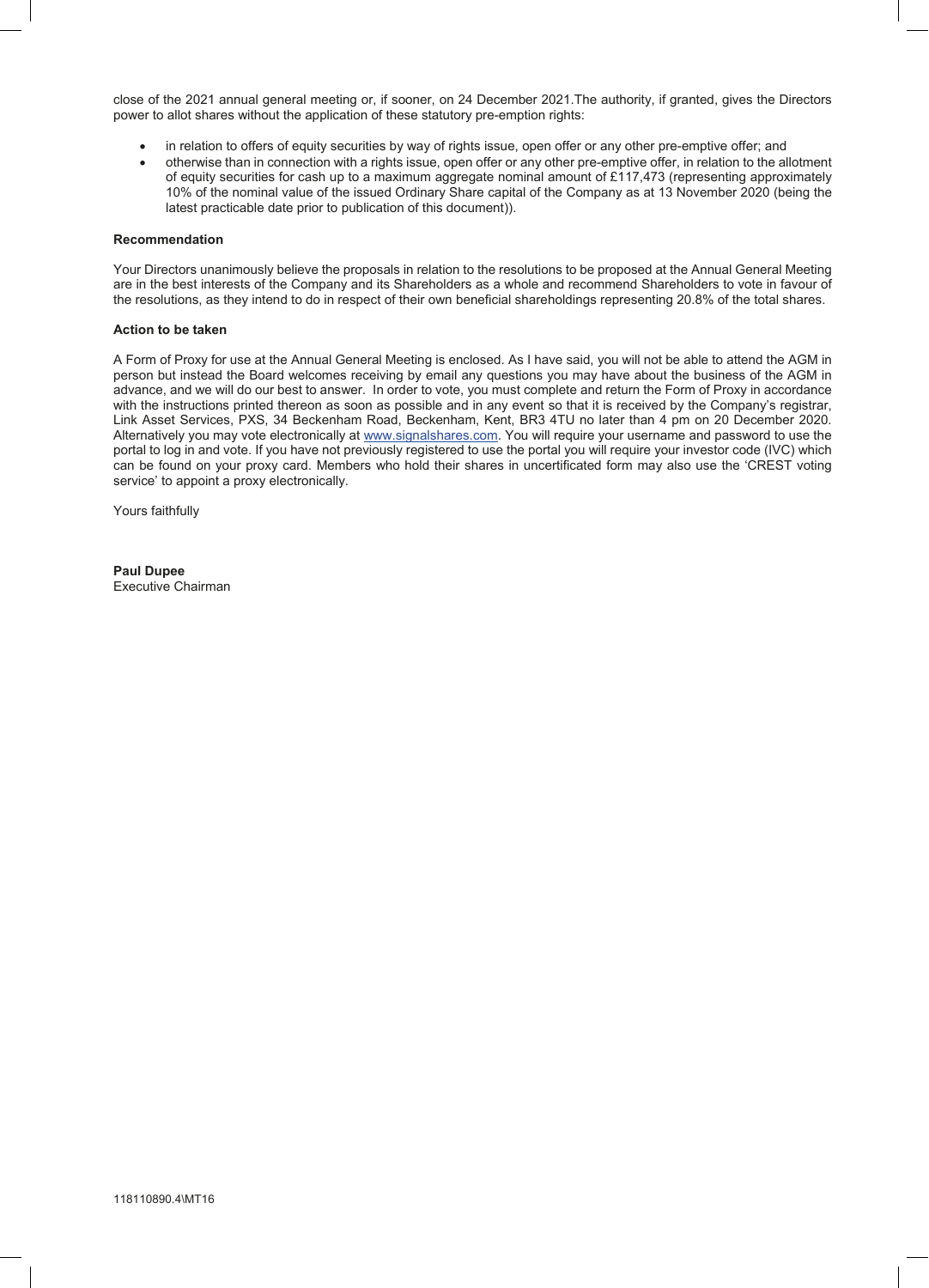close of the 2021 annual general meeting or, if sooner, on 24 December 2021.The authority, if granted, gives the Directors power to allot shares without the application of these statutory pre-emption rights:

- in relation to offers of equity securities by way of rights issue, open offer or any other pre-emptive offer; and
- otherwise than in connection with a rights issue, open offer or any other pre-emptive offer, in relation to the allotment of equity securities for cash up to a maximum aggregate nominal amount of £117,473 (representing approximately 10% of the nominal value of the issued Ordinary Share capital of the Company as at 13 November 2020 (being the latest practicable date prior to publication of this document)).

#### **Recommendation**

Your Directors unanimously believe the proposals in relation to the resolutions to be proposed at the Annual General Meeting are in the best interests of the Company and its Shareholders as a whole and recommend Shareholders to vote in favour of the resolutions, as they intend to do in respect of their own beneficial shareholdings representing 20.8% of the total shares.

#### **Action to be taken**

A Form of Proxy for use at the Annual General Meeting is enclosed. As I have said, you will not be able to attend the AGM in person but instead the Board welcomes receiving by email any questions you may have about the business of the AGM in advance, and we will do our best to answer. In order to vote, you must complete and return the Form of Proxy in accordance with the instructions printed thereon as soon as possible and in any event so that it is received by the Company's registrar, Link Asset Services, PXS, 34 Beckenham Road, Beckenham, Kent, BR3 4TU no later than 4 pm on 20 December 2020. Alternatively you may vote electronically at www.signalshares.com. You will require your username and password to use the portal to log in and vote. If you have not previously registered to use the portal you will require your investor code (IVC) which can be found on your proxy card. Members who hold their shares in uncertificated form may also use the 'CREST voting service' to appoint a proxy electronically.

Yours faithfully

**Paul Dupee** Executive Chairman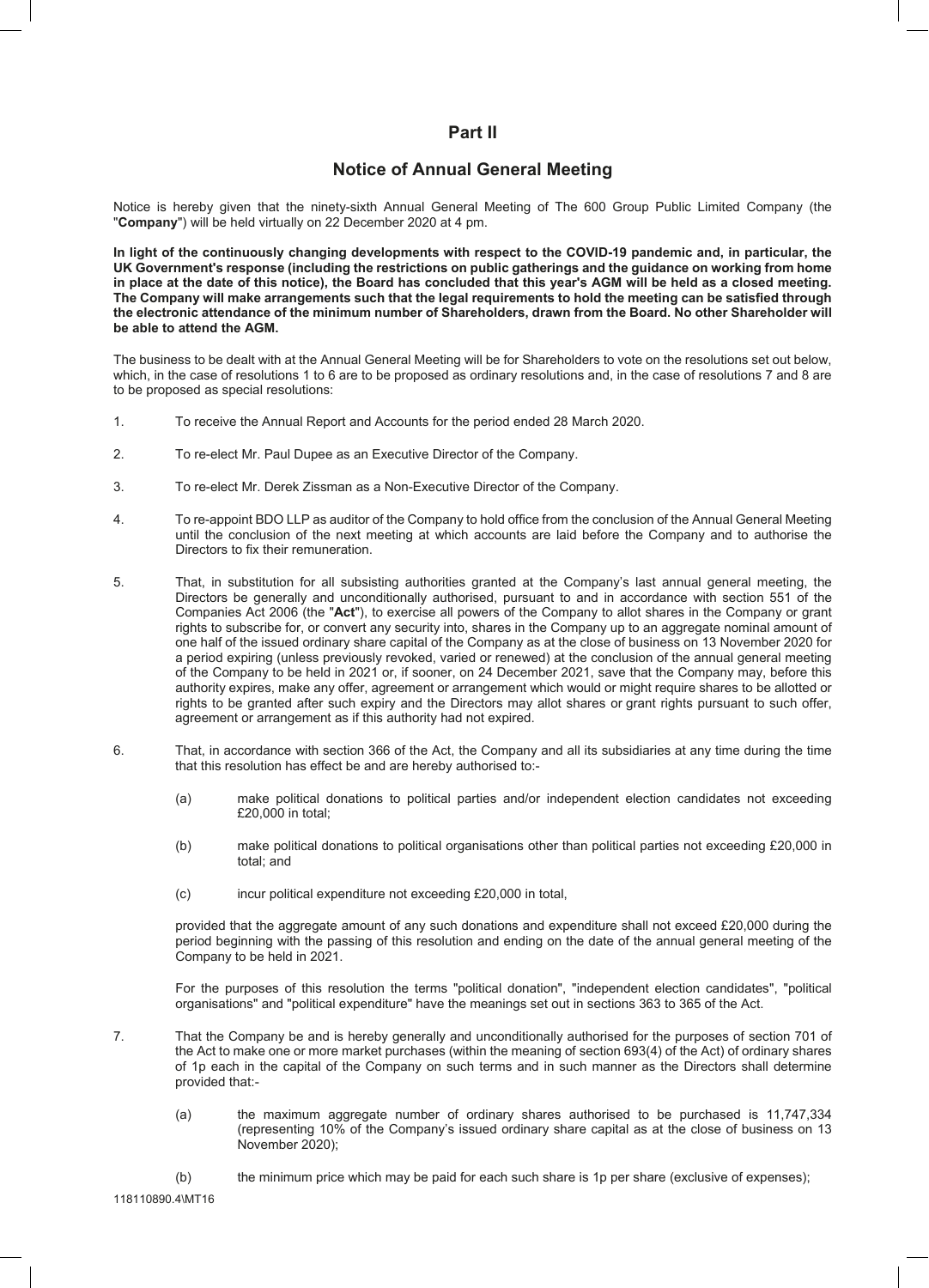# **Part II**

# **Notice of Annual General Meeting**

Notice is hereby given that the ninety-sixth Annual General Meeting of The 600 Group Public Limited Company (the "**Company**") will be held virtually on 22 December 2020 at 4 pm.

**In light of the continuously changing developments with respect to the COVID-19 pandemic and, in particular, the UK Government's response (including the restrictions on public gatherings and the guidance on working from home in place at the date of this notice), the Board has concluded that this year's AGM will be held as a closed meeting. The Company will make arrangements such that the legal requirements to hold the meeting can be satisfied through the electronic attendance of the minimum number of Shareholders, drawn from the Board. No other Shareholder will be able to attend the AGM.**

The business to be dealt with at the Annual General Meeting will be for Shareholders to vote on the resolutions set out below, which, in the case of resolutions 1 to 6 are to be proposed as ordinary resolutions and, in the case of resolutions 7 and 8 are to be proposed as special resolutions:

- 1. To receive the Annual Report and Accounts for the period ended 28 March 2020.
- 2. To re-elect Mr. Paul Dupee as an Executive Director of the Company.
- 3. To re-elect Mr. Derek Zissman as a Non-Executive Director of the Company.
- 4. To re-appoint BDO LLP as auditor of the Company to hold office from the conclusion of the Annual General Meeting until the conclusion of the next meeting at which accounts are laid before the Company and to authorise the Directors to fix their remuneration.
- 5. That, in substitution for all subsisting authorities granted at the Company's last annual general meeting, the Directors be generally and unconditionally authorised, pursuant to and in accordance with section 551 of the Companies Act 2006 (the "**Act**"), to exercise all powers of the Company to allot shares in the Company or grant rights to subscribe for, or convert any security into, shares in the Company up to an aggregate nominal amount of one half of the issued ordinary share capital of the Company as at the close of business on 13 November 2020 for a period expiring (unless previously revoked, varied or renewed) at the conclusion of the annual general meeting of the Company to be held in 2021 or, if sooner, on 24 December 2021, save that the Company may, before this authority expires, make any offer, agreement or arrangement which would or might require shares to be allotted or rights to be granted after such expiry and the Directors may allot shares or grant rights pursuant to such offer, agreement or arrangement as if this authority had not expired.
- 6. That, in accordance with section 366 of the Act, the Company and all its subsidiaries at any time during the time that this resolution has effect be and are hereby authorised to:-
	- (a) make political donations to political parties and/or independent election candidates not exceeding £20,000 in total;
	- (b) make political donations to political organisations other than political parties not exceeding £20,000 in total; and
	- (c) incur political expenditure not exceeding £20,000 in total,

provided that the aggregate amount of any such donations and expenditure shall not exceed £20,000 during the period beginning with the passing of this resolution and ending on the date of the annual general meeting of the Company to be held in 2021.

For the purposes of this resolution the terms "political donation", "independent election candidates", "political organisations" and "political expenditure" have the meanings set out in sections 363 to 365 of the Act.

7. That the Company be and is hereby generally and unconditionally authorised for the purposes of section 701 of the Act to make one or more market purchases (within the meaning of section 693(4) of the Act) of ordinary shares of 1p each in the capital of the Company on such terms and in such manner as the Directors shall determine provided that:-

- (a) the maximum aggregate number of ordinary shares authorised to be purchased is 11,747,334 (representing 10% of the Company's issued ordinary share capital as at the close of business on 13 November 2020);
- (b) the minimum price which may be paid for each such share is 1p per share (exclusive of expenses);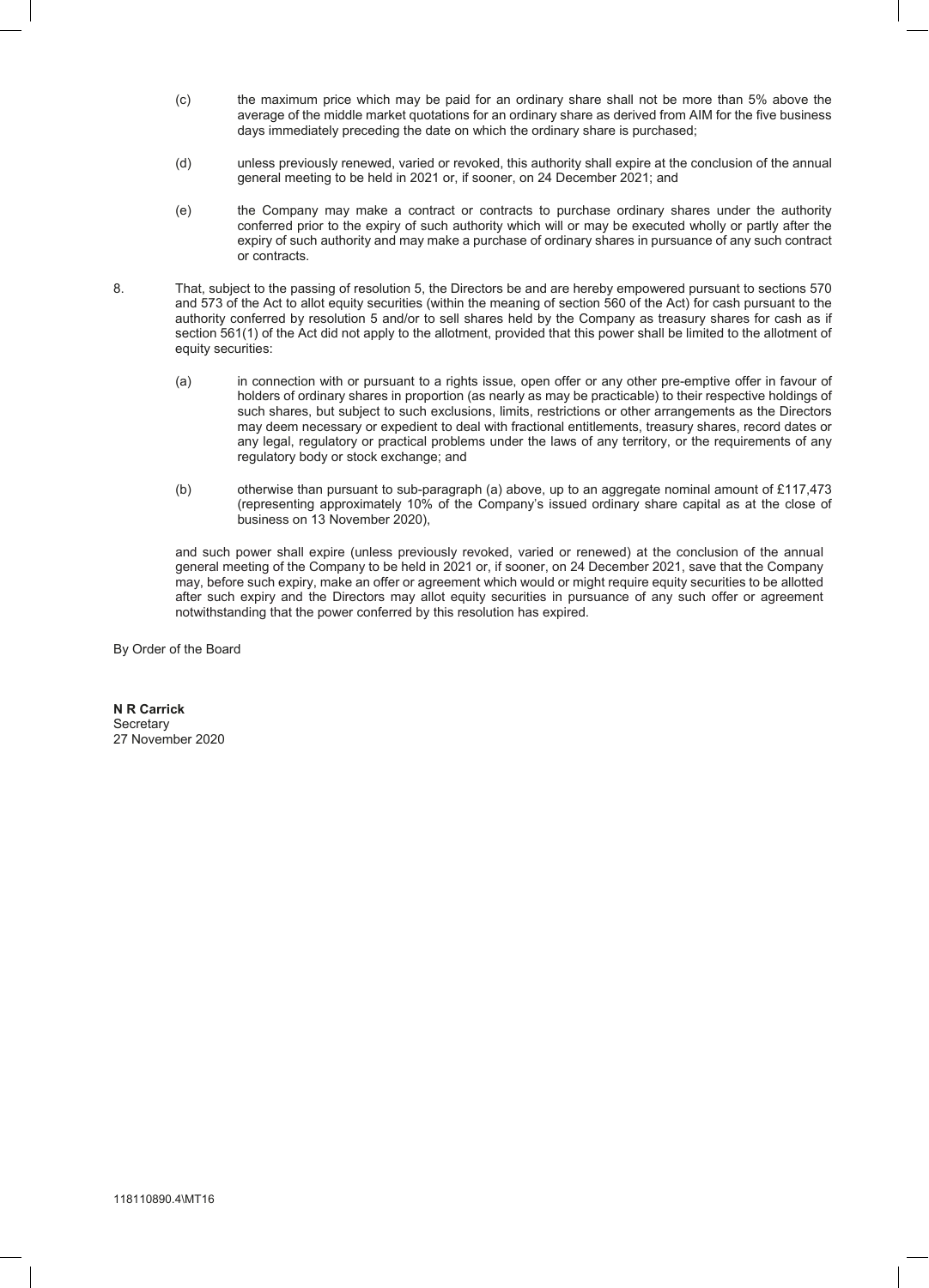- (c) the maximum price which may be paid for an ordinary share shall not be more than 5% above the average of the middle market quotations for an ordinary share as derived from AIM for the five business days immediately preceding the date on which the ordinary share is purchased;
- (d) unless previously renewed, varied or revoked, this authority shall expire at the conclusion of the annual general meeting to be held in 2021 or, if sooner, on 24 December 2021; and
- (e) the Company may make a contract or contracts to purchase ordinary shares under the authority conferred prior to the expiry of such authority which will or may be executed wholly or partly after the expiry of such authority and may make a purchase of ordinary shares in pursuance of any such contract or contracts.
- 8. That, subject to the passing of resolution 5, the Directors be and are hereby empowered pursuant to sections 570 and 573 of the Act to allot equity securities (within the meaning of section 560 of the Act) for cash pursuant to the authority conferred by resolution 5 and/or to sell shares held by the Company as treasury shares for cash as if section 561(1) of the Act did not apply to the allotment, provided that this power shall be limited to the allotment of equity securities:
	- (a) in connection with or pursuant to a rights issue, open offer or any other pre-emptive offer in favour of holders of ordinary shares in proportion (as nearly as may be practicable) to their respective holdings of such shares, but subject to such exclusions, limits, restrictions or other arrangements as the Directors may deem necessary or expedient to deal with fractional entitlements, treasury shares, record dates or any legal, regulatory or practical problems under the laws of any territory, or the requirements of any regulatory body or stock exchange; and
	- (b) otherwise than pursuant to sub-paragraph (a) above, up to an aggregate nominal amount of £117,473 (representing approximately 10% of the Company's issued ordinary share capital as at the close of business on 13 November 2020),

and such power shall expire (unless previously revoked, varied or renewed) at the conclusion of the annual general meeting of the Company to be held in 2021 or, if sooner, on 24 December 2021, save that the Company may, before such expiry, make an offer or agreement which would or might require equity securities to be allotted after such expiry and the Directors may allot equity securities in pursuance of any such offer or agreement notwithstanding that the power conferred by this resolution has expired.

By Order of the Board

**N R Carrick Secretary** 27 November 2020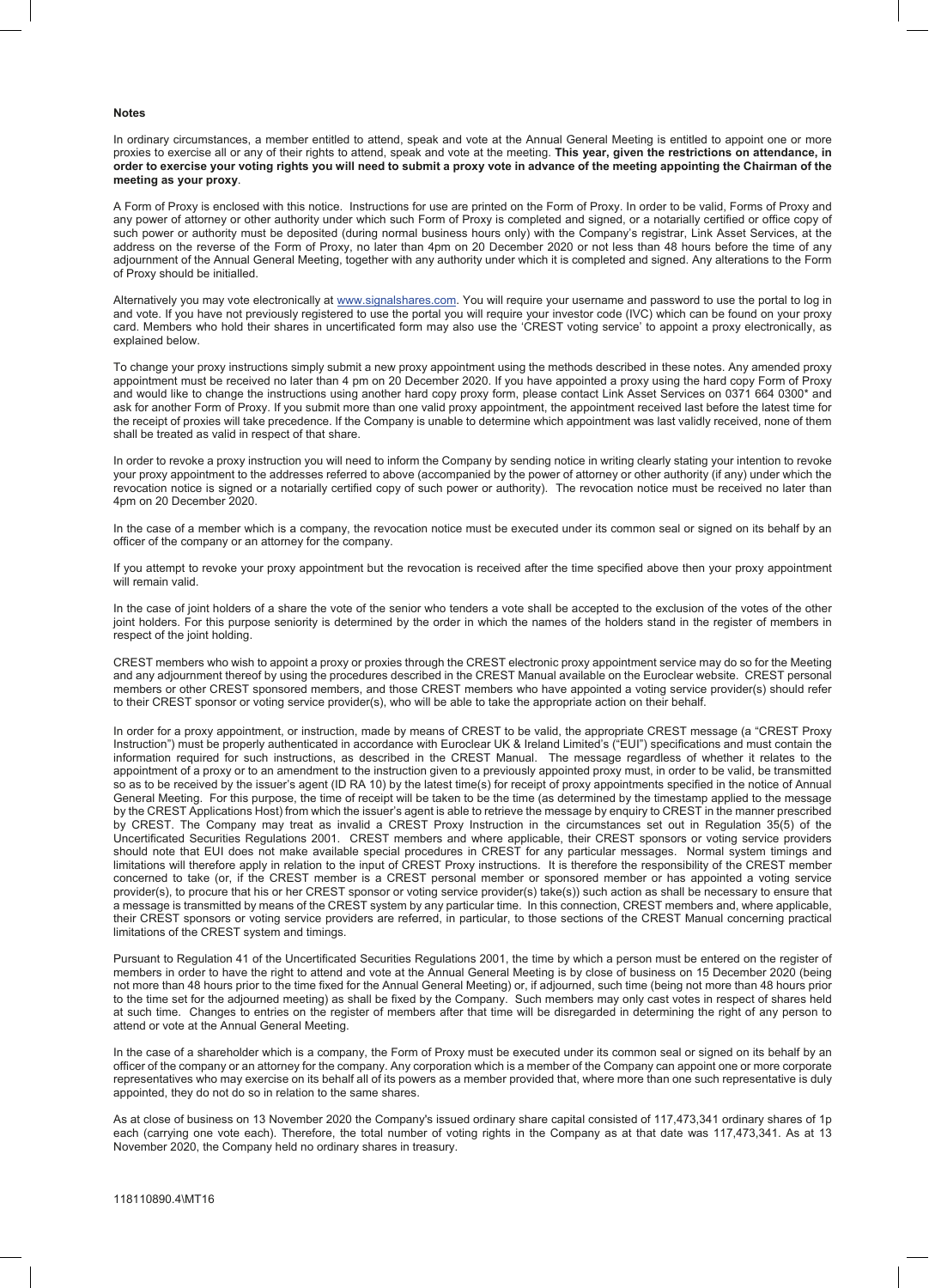#### **Notes**

In ordinary circumstances, a member entitled to attend, speak and vote at the Annual General Meeting is entitled to appoint one or more proxies to exercise all or any of their rights to attend, speak and vote at the meeting. **This year, given the restrictions on attendance, in order to exercise your voting rights you will need to submit a proxy vote in advance of the meeting appointing the Chairman of the meeting as your proxy**.

A Form of Proxy is enclosed with this notice. Instructions for use are printed on the Form of Proxy. In order to be valid, Forms of Proxy and any power of attorney or other authority under which such Form of Proxy is completed and signed, or a notarially certified or office copy of such power or authority must be deposited (during normal business hours only) with the Company's registrar, Link Asset Services, at the address on the reverse of the Form of Proxy, no later than 4pm on 20 December 2020 or not less than 48 hours before the time of any adjournment of the Annual General Meeting, together with any authority under which it is completed and signed. Any alterations to the Form of Proxy should be initialled.

Alternatively you may vote electronically at www.signalshares.com. You will require your username and password to use the portal to log in and vote. If you have not previously registered to use the portal you will require your investor code (IVC) which can be found on your proxy card. Members who hold their shares in uncertificated form may also use the 'CREST voting service' to appoint a proxy electronically, as explained below.

To change your proxy instructions simply submit a new proxy appointment using the methods described in these notes. Any amended proxy appointment must be received no later than 4 pm on 20 December 2020. If you have appointed a proxy using the hard copy Form of Proxy and would like to change the instructions using another hard copy proxy form, please contact Link Asset Services on 0371 664 0300\* and ask for another Form of Proxy. If you submit more than one valid proxy appointment, the appointment received last before the latest time for the receipt of proxies will take precedence. If the Company is unable to determine which appointment was last validly received, none of them shall be treated as valid in respect of that share.

In order to revoke a proxy instruction you will need to inform the Company by sending notice in writing clearly stating your intention to revoke your proxy appointment to the addresses referred to above (accompanied by the power of attorney or other authority (if any) under which the revocation notice is signed or a notarially certified copy of such power or authority). The revocation notice must be received no later than 4pm on 20 December 2020.

In the case of a member which is a company, the revocation notice must be executed under its common seal or signed on its behalf by an officer of the company or an attorney for the company.

If you attempt to revoke your proxy appointment but the revocation is received after the time specified above then your proxy appointment will remain valid.

In the case of joint holders of a share the vote of the senior who tenders a vote shall be accepted to the exclusion of the votes of the other joint holders. For this purpose seniority is determined by the order in which the names of the holders stand in the register of members in respect of the joint holding.

CREST members who wish to appoint a proxy or proxies through the CREST electronic proxy appointment service may do so for the Meeting and any adjournment thereof by using the procedures described in the CREST Manual available on the Euroclear website. CREST personal members or other CREST sponsored members, and those CREST members who have appointed a voting service provider(s) should refer to their CREST sponsor or voting service provider(s), who will be able to take the appropriate action on their behalf.

In order for a proxy appointment, or instruction, made by means of CREST to be valid, the appropriate CREST message (a "CREST Proxy Instruction") must be properly authenticated in accordance with Euroclear UK & Ireland Limited's ("EUI") specifications and must contain the information required for such instructions, as described in the CREST Manual. The message regardless of whether it relates to the appointment of a proxy or to an amendment to the instruction given to a previously appointed proxy must, in order to be valid, be transmitted so as to be received by the issuer's agent (ID RA 10) by the latest time(s) for receipt of proxy appointments specified in the notice of Annual General Meeting. For this purpose, the time of receipt will be taken to be the time (as determined by the timestamp applied to the message by the CREST Applications Host) from which the issuer's agent is able to retrieve the message by enquiry to CREST in the manner prescribed by CREST. The Company may treat as invalid a CREST Proxy Instruction in the circumstances set out in Regulation 35(5) of the Uncertificated Securities Regulations 2001. CREST members and where applicable, their CREST sponsors or voting service providers should note that EUI does not make available special procedures in CREST for any particular messages. Normal system timings and limitations will therefore apply in relation to the input of CREST Proxy instructions. It is therefore the responsibility of the CREST member concerned to take (or, if the CREST member is a CREST personal member or sponsored member or has appointed a voting service provider(s), to procure that his or her CREST sponsor or voting service provider(s) take(s)) such action as shall be necessary to ensure that a message is transmitted by means of the CREST system by any particular time. In this connection, CREST members and, where applicable, their CREST sponsors or voting service providers are referred, in particular, to those sections of the CREST Manual concerning practical limitations of the CREST system and timings.

Pursuant to Regulation 41 of the Uncertificated Securities Regulations 2001, the time by which a person must be entered on the register of members in order to have the right to attend and vote at the Annual General Meeting is by close of business on 15 December 2020 (being not more than 48 hours prior to the time fixed for the Annual General Meeting) or, if adjourned, such time (being not more than 48 hours prior to the time set for the adjourned meeting) as shall be fixed by the Company. Such members may only cast votes in respect of shares held at such time. Changes to entries on the register of members after that time will be disregarded in determining the right of any person to attend or vote at the Annual General Meeting.

In the case of a shareholder which is a company, the Form of Proxy must be executed under its common seal or signed on its behalf by an officer of the company or an attorney for the company. Any corporation which is a member of the Company can appoint one or more corporate representatives who may exercise on its behalf all of its powers as a member provided that, where more than one such representative is duly appointed, they do not do so in relation to the same shares.

As at close of business on 13 November 2020 the Company's issued ordinary share capital consisted of 117,473,341 ordinary shares of 1p each (carrying one vote each). Therefore, the total number of voting rights in the Company as at that date was 117,473,341. As at 13 November 2020, the Company held no ordinary shares in treasury.